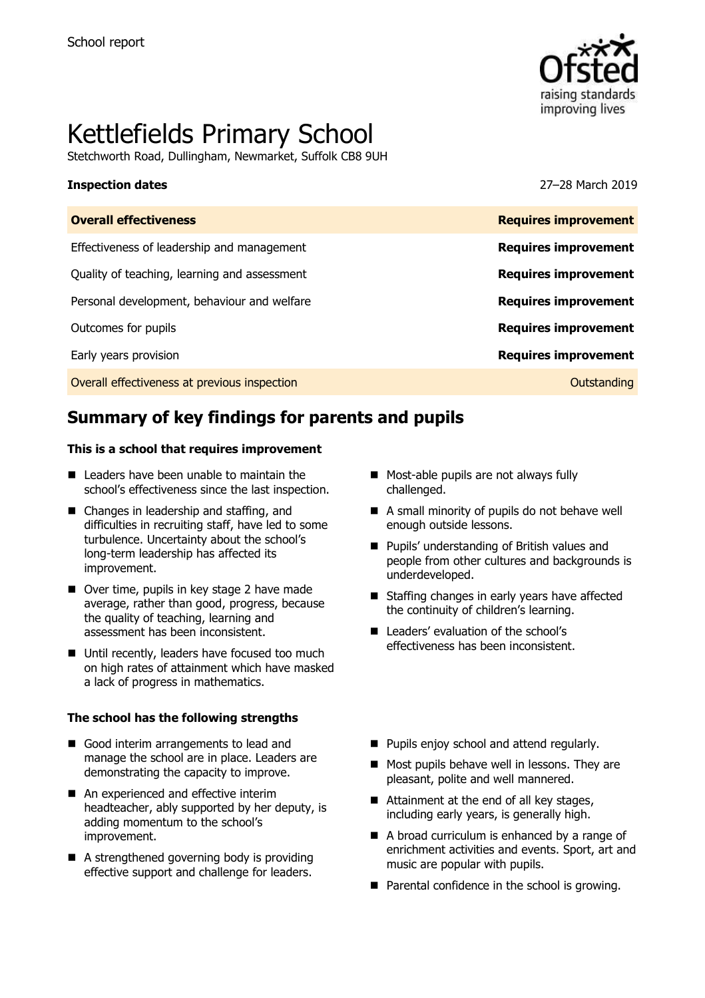

# Kettlefields Primary School

Stetchworth Road, Dullingham, Newmarket, Suffolk CB8 9UH

#### **Inspection dates** 27–28 March 2019

| <b>Overall effectiveness</b>                 | <b>Requires improvement</b> |
|----------------------------------------------|-----------------------------|
| Effectiveness of leadership and management   | <b>Requires improvement</b> |
| Quality of teaching, learning and assessment | <b>Requires improvement</b> |
| Personal development, behaviour and welfare  | <b>Requires improvement</b> |
| Outcomes for pupils                          | <b>Requires improvement</b> |
| Early years provision                        | <b>Requires improvement</b> |
| Overall effectiveness at previous inspection | Outstanding                 |
|                                              |                             |

# **Summary of key findings for parents and pupils**

#### **This is a school that requires improvement**

- Leaders have been unable to maintain the school's effectiveness since the last inspection.
- Changes in leadership and staffing, and difficulties in recruiting staff, have led to some turbulence. Uncertainty about the school's long-term leadership has affected its improvement.
- Over time, pupils in key stage 2 have made average, rather than good, progress, because the quality of teaching, learning and assessment has been inconsistent.
- Until recently, leaders have focused too much on high rates of attainment which have masked a lack of progress in mathematics.

#### **The school has the following strengths**

- Good interim arrangements to lead and manage the school are in place. Leaders are demonstrating the capacity to improve.
- An experienced and effective interim headteacher, ably supported by her deputy, is adding momentum to the school's improvement.
- A strengthened governing body is providing effective support and challenge for leaders.
- Most-able pupils are not always fully challenged.
- A small minority of pupils do not behave well enough outside lessons.
- **Pupils' understanding of British values and** people from other cultures and backgrounds is underdeveloped.
- Staffing changes in early years have affected the continuity of children's learning.
- Leaders' evaluation of the school's effectiveness has been inconsistent.
- **Pupils enjoy school and attend regularly.**
- Most pupils behave well in lessons. They are pleasant, polite and well mannered.
- Attainment at the end of all key stages, including early years, is generally high.
- A broad curriculum is enhanced by a range of enrichment activities and events. Sport, art and music are popular with pupils.
- **Parental confidence in the school is growing.**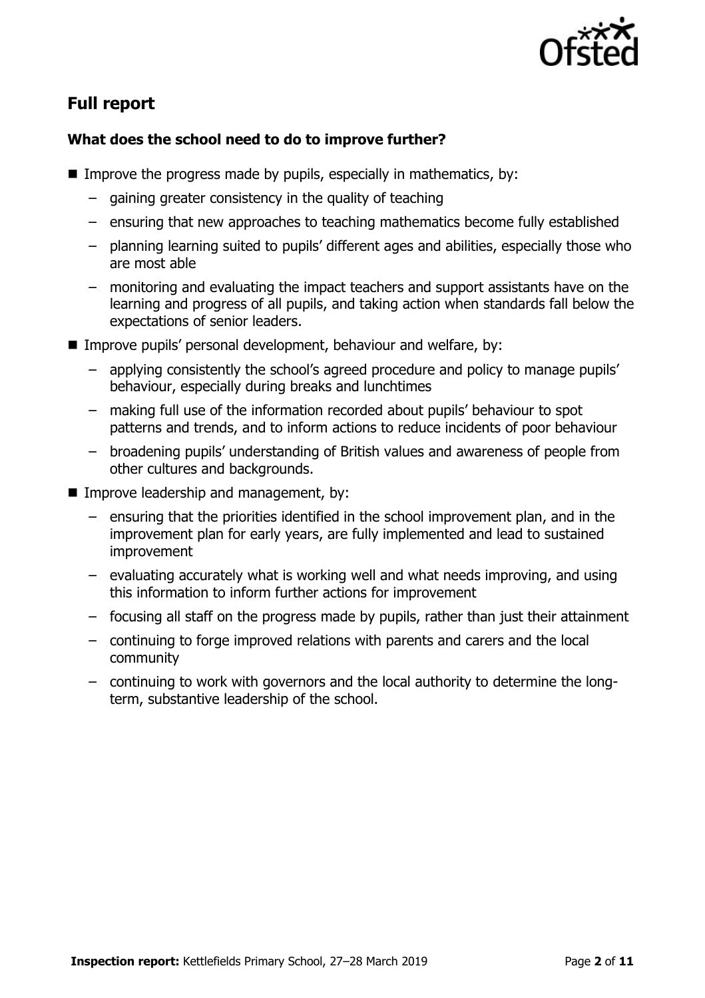

# **Full report**

### **What does the school need to do to improve further?**

- Improve the progress made by pupils, especially in mathematics, by:
	- gaining greater consistency in the quality of teaching
	- ensuring that new approaches to teaching mathematics become fully established
	- planning learning suited to pupils' different ages and abilities, especially those who are most able
	- monitoring and evaluating the impact teachers and support assistants have on the learning and progress of all pupils, and taking action when standards fall below the expectations of senior leaders.
- Improve pupils' personal development, behaviour and welfare, by:
	- applying consistently the school's agreed procedure and policy to manage pupils' behaviour, especially during breaks and lunchtimes
	- making full use of the information recorded about pupils' behaviour to spot patterns and trends, and to inform actions to reduce incidents of poor behaviour
	- broadening pupils' understanding of British values and awareness of people from other cultures and backgrounds.
- **IMPROPE Improve leadership and management, by:** 
	- ensuring that the priorities identified in the school improvement plan, and in the improvement plan for early years, are fully implemented and lead to sustained improvement
	- evaluating accurately what is working well and what needs improving, and using this information to inform further actions for improvement
	- focusing all staff on the progress made by pupils, rather than just their attainment
	- continuing to forge improved relations with parents and carers and the local community
	- continuing to work with governors and the local authority to determine the longterm, substantive leadership of the school.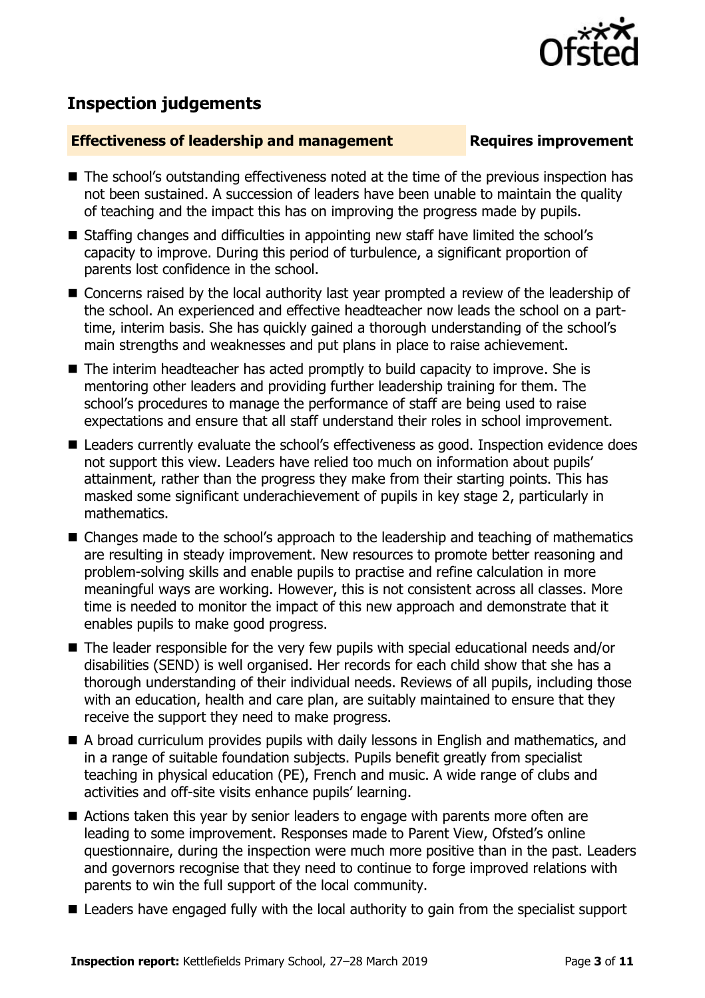

# **Inspection judgements**

#### **Effectiveness of leadership and management Requires improvement**

- The school's outstanding effectiveness noted at the time of the previous inspection has not been sustained. A succession of leaders have been unable to maintain the quality of teaching and the impact this has on improving the progress made by pupils.
- Staffing changes and difficulties in appointing new staff have limited the school's capacity to improve. During this period of turbulence, a significant proportion of parents lost confidence in the school.
- Concerns raised by the local authority last year prompted a review of the leadership of the school. An experienced and effective headteacher now leads the school on a parttime, interim basis. She has quickly gained a thorough understanding of the school's main strengths and weaknesses and put plans in place to raise achievement.
- The interim headteacher has acted promptly to build capacity to improve. She is mentoring other leaders and providing further leadership training for them. The school's procedures to manage the performance of staff are being used to raise expectations and ensure that all staff understand their roles in school improvement.
- Leaders currently evaluate the school's effectiveness as good. Inspection evidence does not support this view. Leaders have relied too much on information about pupils' attainment, rather than the progress they make from their starting points. This has masked some significant underachievement of pupils in key stage 2, particularly in mathematics.
- Changes made to the school's approach to the leadership and teaching of mathematics are resulting in steady improvement. New resources to promote better reasoning and problem-solving skills and enable pupils to practise and refine calculation in more meaningful ways are working. However, this is not consistent across all classes. More time is needed to monitor the impact of this new approach and demonstrate that it enables pupils to make good progress.
- The leader responsible for the very few pupils with special educational needs and/or disabilities (SEND) is well organised. Her records for each child show that she has a thorough understanding of their individual needs. Reviews of all pupils, including those with an education, health and care plan, are suitably maintained to ensure that they receive the support they need to make progress.
- A broad curriculum provides pupils with daily lessons in English and mathematics, and in a range of suitable foundation subjects. Pupils benefit greatly from specialist teaching in physical education (PE), French and music. A wide range of clubs and activities and off-site visits enhance pupils' learning.
- Actions taken this year by senior leaders to engage with parents more often are leading to some improvement. Responses made to Parent View, Ofsted's online questionnaire, during the inspection were much more positive than in the past. Leaders and governors recognise that they need to continue to forge improved relations with parents to win the full support of the local community.
- Leaders have engaged fully with the local authority to gain from the specialist support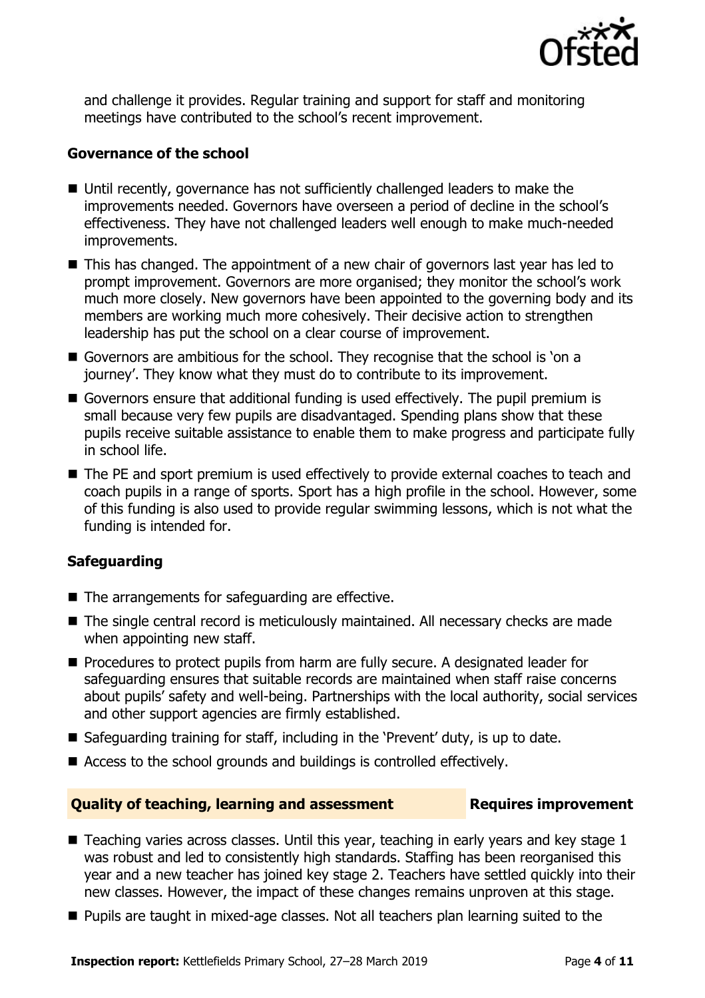

and challenge it provides. Regular training and support for staff and monitoring meetings have contributed to the school's recent improvement.

#### **Governance of the school**

- Until recently, governance has not sufficiently challenged leaders to make the improvements needed. Governors have overseen a period of decline in the school's effectiveness. They have not challenged leaders well enough to make much-needed improvements.
- This has changed. The appointment of a new chair of governors last year has led to prompt improvement. Governors are more organised; they monitor the school's work much more closely. New governors have been appointed to the governing body and its members are working much more cohesively. Their decisive action to strengthen leadership has put the school on a clear course of improvement.
- Governors are ambitious for the school. They recognise that the school is 'on a journey'. They know what they must do to contribute to its improvement.
- Governors ensure that additional funding is used effectively. The pupil premium is small because very few pupils are disadvantaged. Spending plans show that these pupils receive suitable assistance to enable them to make progress and participate fully in school life.
- The PE and sport premium is used effectively to provide external coaches to teach and coach pupils in a range of sports. Sport has a high profile in the school. However, some of this funding is also used to provide regular swimming lessons, which is not what the funding is intended for.

### **Safeguarding**

- The arrangements for safeguarding are effective.
- The single central record is meticulously maintained. All necessary checks are made when appointing new staff.
- **Procedures to protect pupils from harm are fully secure. A designated leader for** safeguarding ensures that suitable records are maintained when staff raise concerns about pupils' safety and well-being. Partnerships with the local authority, social services and other support agencies are firmly established.
- Safeguarding training for staff, including in the 'Prevent' duty, is up to date.
- Access to the school grounds and buildings is controlled effectively.

#### **Quality of teaching, learning and assessment France Requires improvement**

- $\blacksquare$  Teaching varies across classes. Until this year, teaching in early years and key stage 1 was robust and led to consistently high standards. Staffing has been reorganised this year and a new teacher has joined key stage 2. Teachers have settled quickly into their new classes. However, the impact of these changes remains unproven at this stage.
- **Pupils are taught in mixed-age classes. Not all teachers plan learning suited to the**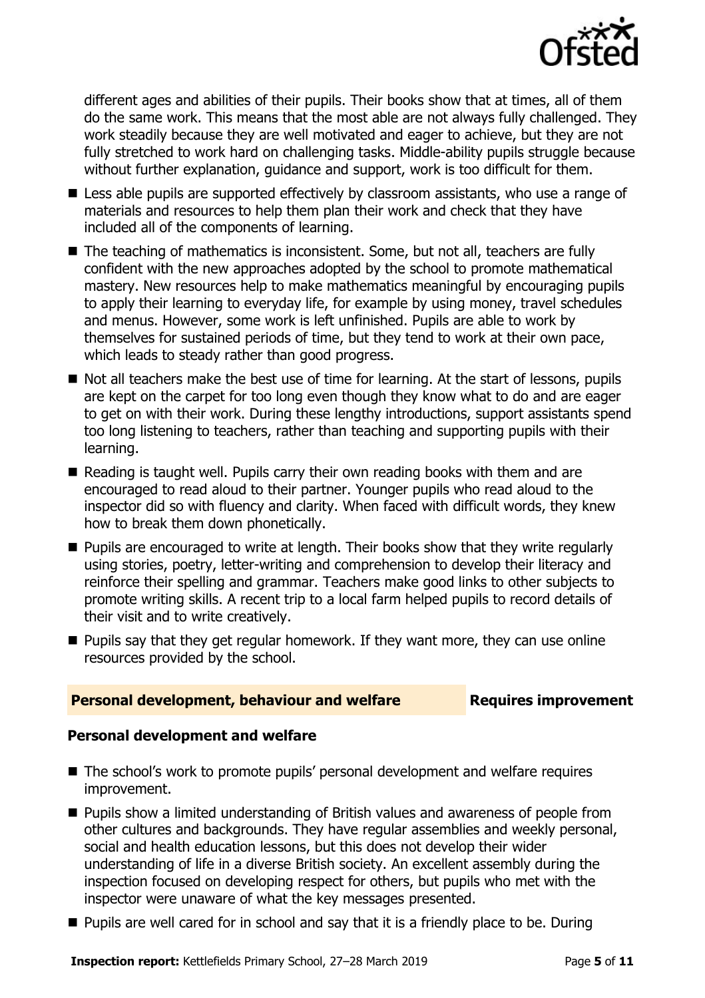

different ages and abilities of their pupils. Their books show that at times, all of them do the same work. This means that the most able are not always fully challenged. They work steadily because they are well motivated and eager to achieve, but they are not fully stretched to work hard on challenging tasks. Middle-ability pupils struggle because without further explanation, guidance and support, work is too difficult for them.

- **E** Less able pupils are supported effectively by classroom assistants, who use a range of materials and resources to help them plan their work and check that they have included all of the components of learning.
- The teaching of mathematics is inconsistent. Some, but not all, teachers are fully confident with the new approaches adopted by the school to promote mathematical mastery. New resources help to make mathematics meaningful by encouraging pupils to apply their learning to everyday life, for example by using money, travel schedules and menus. However, some work is left unfinished. Pupils are able to work by themselves for sustained periods of time, but they tend to work at their own pace, which leads to steady rather than good progress.
- Not all teachers make the best use of time for learning. At the start of lessons, pupils are kept on the carpet for too long even though they know what to do and are eager to get on with their work. During these lengthy introductions, support assistants spend too long listening to teachers, rather than teaching and supporting pupils with their learning.
- Reading is taught well. Pupils carry their own reading books with them and are encouraged to read aloud to their partner. Younger pupils who read aloud to the inspector did so with fluency and clarity. When faced with difficult words, they knew how to break them down phonetically.
- **Pupils are encouraged to write at length. Their books show that they write regularly** using stories, poetry, letter-writing and comprehension to develop their literacy and reinforce their spelling and grammar. Teachers make good links to other subjects to promote writing skills. A recent trip to a local farm helped pupils to record details of their visit and to write creatively.
- $\blacksquare$  Pupils say that they get regular homework. If they want more, they can use online resources provided by the school.

### **Personal development, behaviour and welfare <b>Requires improvement**

#### **Personal development and welfare**

- The school's work to promote pupils' personal development and welfare requires improvement.
- **Pupils show a limited understanding of British values and awareness of people from** other cultures and backgrounds. They have regular assemblies and weekly personal, social and health education lessons, but this does not develop their wider understanding of life in a diverse British society. An excellent assembly during the inspection focused on developing respect for others, but pupils who met with the inspector were unaware of what the key messages presented.
- **Pupils are well cared for in school and say that it is a friendly place to be. During**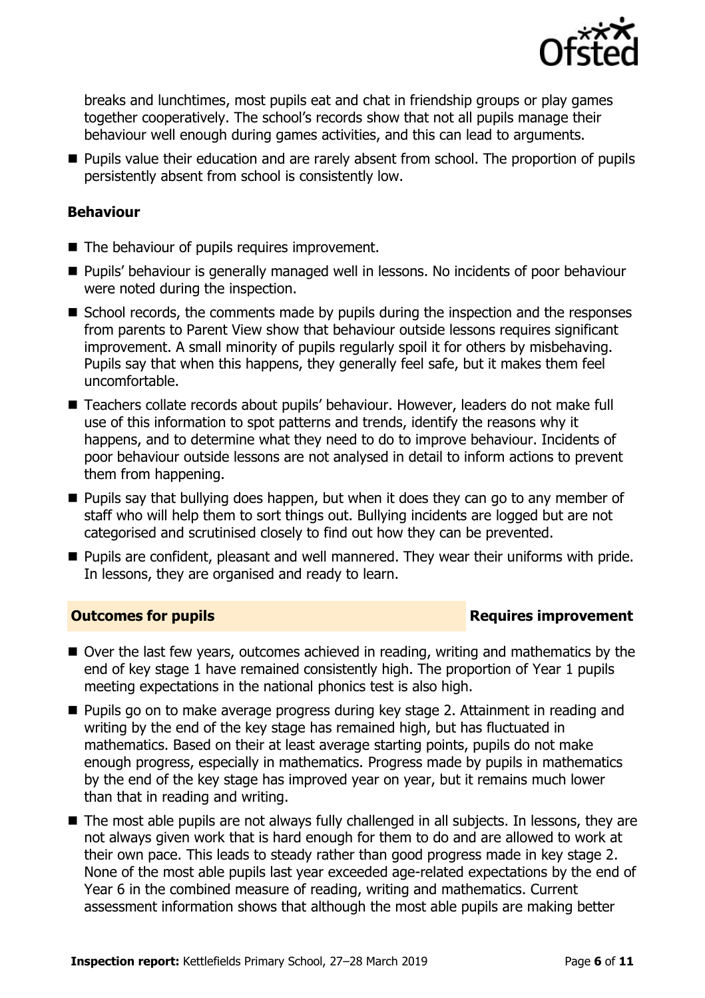

breaks and lunchtimes, most pupils eat and chat in friendship groups or play games together cooperatively. The school's records show that not all pupils manage their behaviour well enough during games activities, and this can lead to arguments.

**Pupils value their education and are rarely absent from school. The proportion of pupils** persistently absent from school is consistently low.

#### **Behaviour**

- The behaviour of pupils requires improvement.
- **Pupils'** behaviour is generally managed well in lessons. No incidents of poor behaviour were noted during the inspection.
- School records, the comments made by pupils during the inspection and the responses from parents to Parent View show that behaviour outside lessons requires significant improvement. A small minority of pupils regularly spoil it for others by misbehaving. Pupils say that when this happens, they generally feel safe, but it makes them feel uncomfortable.
- Teachers collate records about pupils' behaviour. However, leaders do not make full use of this information to spot patterns and trends, identify the reasons why it happens, and to determine what they need to do to improve behaviour. Incidents of poor behaviour outside lessons are not analysed in detail to inform actions to prevent them from happening.
- **Pupils say that bullying does happen, but when it does they can go to any member of** staff who will help them to sort things out. Bullying incidents are logged but are not categorised and scrutinised closely to find out how they can be prevented.
- **Pupils are confident, pleasant and well mannered. They wear their uniforms with pride.** In lessons, they are organised and ready to learn.

### **Outcomes for pupils Requires improvement**

- Over the last few years, outcomes achieved in reading, writing and mathematics by the end of key stage 1 have remained consistently high. The proportion of Year 1 pupils meeting expectations in the national phonics test is also high.
- Pupils go on to make average progress during key stage 2. Attainment in reading and writing by the end of the key stage has remained high, but has fluctuated in mathematics. Based on their at least average starting points, pupils do not make enough progress, especially in mathematics. Progress made by pupils in mathematics by the end of the key stage has improved year on year, but it remains much lower than that in reading and writing.
- The most able pupils are not always fully challenged in all subjects. In lessons, they are not always given work that is hard enough for them to do and are allowed to work at their own pace. This leads to steady rather than good progress made in key stage 2. None of the most able pupils last year exceeded age-related expectations by the end of Year 6 in the combined measure of reading, writing and mathematics. Current assessment information shows that although the most able pupils are making better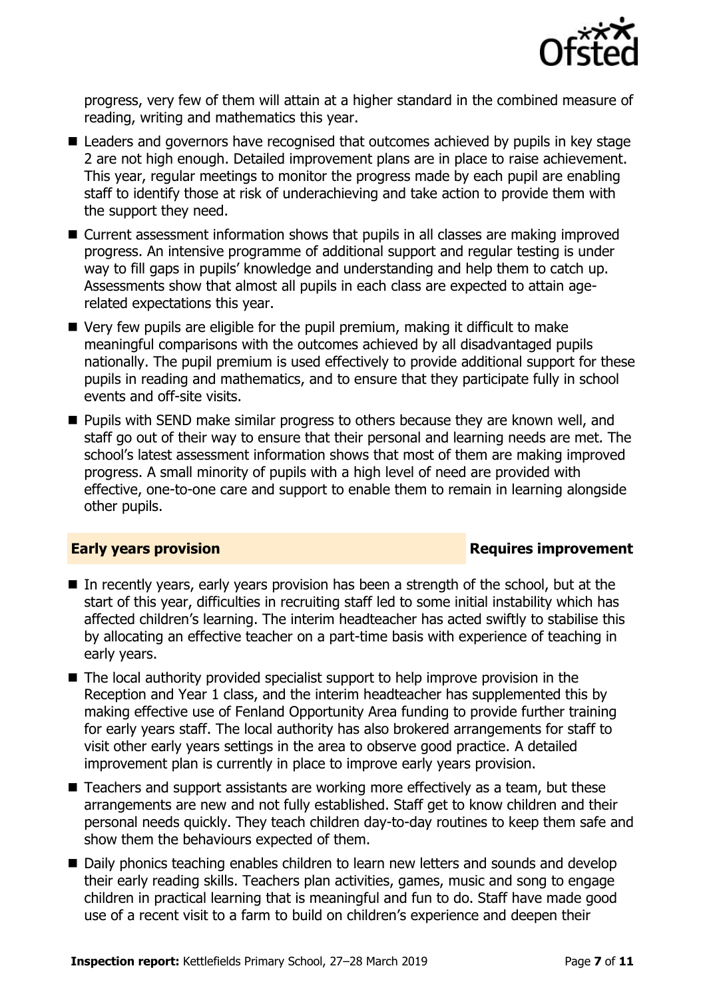

progress, very few of them will attain at a higher standard in the combined measure of reading, writing and mathematics this year.

- Leaders and governors have recognised that outcomes achieved by pupils in key stage 2 are not high enough. Detailed improvement plans are in place to raise achievement. This year, regular meetings to monitor the progress made by each pupil are enabling staff to identify those at risk of underachieving and take action to provide them with the support they need.
- Current assessment information shows that pupils in all classes are making improved progress. An intensive programme of additional support and regular testing is under way to fill gaps in pupils' knowledge and understanding and help them to catch up. Assessments show that almost all pupils in each class are expected to attain agerelated expectations this year.
- Very few pupils are eligible for the pupil premium, making it difficult to make meaningful comparisons with the outcomes achieved by all disadvantaged pupils nationally. The pupil premium is used effectively to provide additional support for these pupils in reading and mathematics, and to ensure that they participate fully in school events and off-site visits.
- **Pupils with SEND make similar progress to others because they are known well, and** staff go out of their way to ensure that their personal and learning needs are met. The school's latest assessment information shows that most of them are making improved progress. A small minority of pupils with a high level of need are provided with effective, one-to-one care and support to enable them to remain in learning alongside other pupils.

### **Early years provision Requires improvement**

- In recently years, early years provision has been a strength of the school, but at the start of this year, difficulties in recruiting staff led to some initial instability which has affected children's learning. The interim headteacher has acted swiftly to stabilise this by allocating an effective teacher on a part-time basis with experience of teaching in early years.
- The local authority provided specialist support to help improve provision in the Reception and Year 1 class, and the interim headteacher has supplemented this by making effective use of Fenland Opportunity Area funding to provide further training for early years staff. The local authority has also brokered arrangements for staff to visit other early years settings in the area to observe good practice. A detailed improvement plan is currently in place to improve early years provision.
- Teachers and support assistants are working more effectively as a team, but these arrangements are new and not fully established. Staff get to know children and their personal needs quickly. They teach children day-to-day routines to keep them safe and show them the behaviours expected of them.
- Daily phonics teaching enables children to learn new letters and sounds and develop their early reading skills. Teachers plan activities, games, music and song to engage children in practical learning that is meaningful and fun to do. Staff have made good use of a recent visit to a farm to build on children's experience and deepen their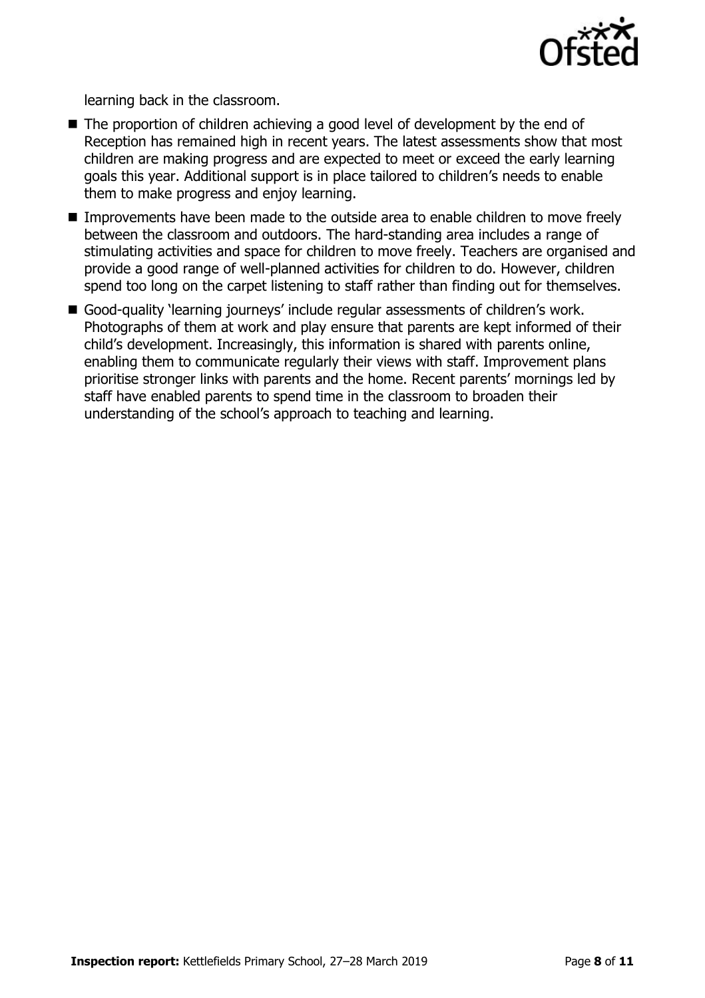

learning back in the classroom.

- The proportion of children achieving a good level of development by the end of Reception has remained high in recent years. The latest assessments show that most children are making progress and are expected to meet or exceed the early learning goals this year. Additional support is in place tailored to children's needs to enable them to make progress and enjoy learning.
- **IMPROM** Improvements have been made to the outside area to enable children to move freely between the classroom and outdoors. The hard-standing area includes a range of stimulating activities and space for children to move freely. Teachers are organised and provide a good range of well-planned activities for children to do. However, children spend too long on the carpet listening to staff rather than finding out for themselves.
- Good-quality 'learning journeys' include regular assessments of children's work. Photographs of them at work and play ensure that parents are kept informed of their child's development. Increasingly, this information is shared with parents online, enabling them to communicate regularly their views with staff. Improvement plans prioritise stronger links with parents and the home. Recent parents' mornings led by staff have enabled parents to spend time in the classroom to broaden their understanding of the school's approach to teaching and learning.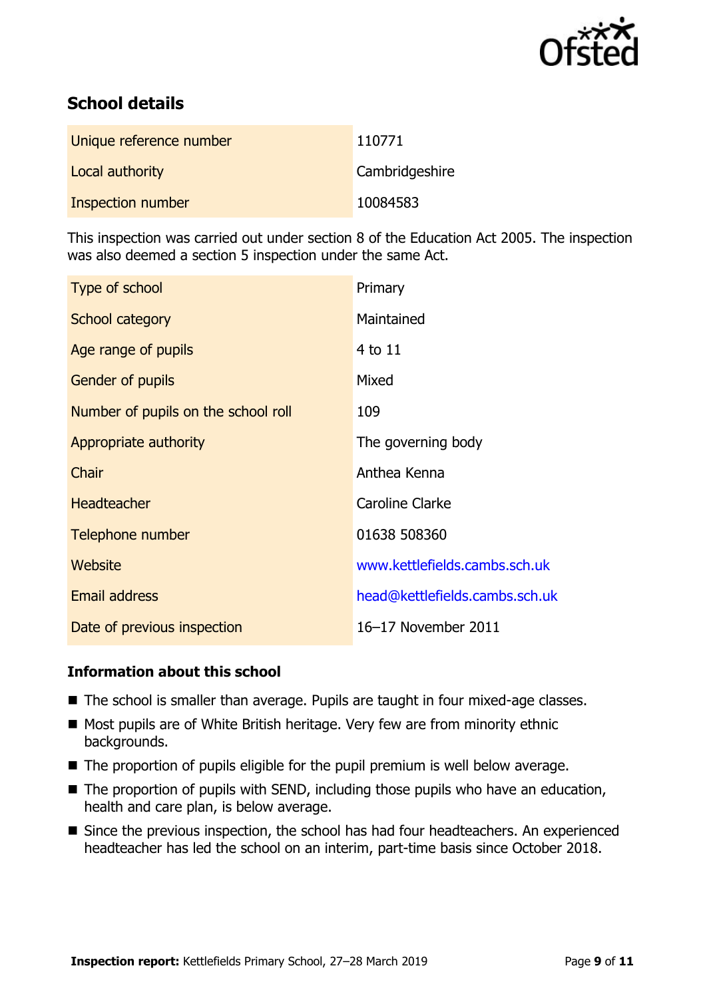

# **School details**

| Unique reference number | 110771         |
|-------------------------|----------------|
| Local authority         | Cambridgeshire |
| Inspection number       | 10084583       |

This inspection was carried out under section 8 of the Education Act 2005. The inspection was also deemed a section 5 inspection under the same Act.

| Type of school                      | Primary                        |
|-------------------------------------|--------------------------------|
| School category                     | Maintained                     |
| Age range of pupils                 | 4 to 11                        |
| <b>Gender of pupils</b>             | Mixed                          |
| Number of pupils on the school roll | 109                            |
| Appropriate authority               | The governing body             |
| Chair                               | Anthea Kenna                   |
| <b>Headteacher</b>                  | <b>Caroline Clarke</b>         |
| Telephone number                    | 01638 508360                   |
| Website                             | www.kettlefields.cambs.sch.uk  |
| Email address                       | head@kettlefields.cambs.sch.uk |
| Date of previous inspection         | 16-17 November 2011            |

#### **Information about this school**

- The school is smaller than average. Pupils are taught in four mixed-age classes.
- Most pupils are of White British heritage. Very few are from minority ethnic backgrounds.
- The proportion of pupils eligible for the pupil premium is well below average.
- $\blacksquare$  The proportion of pupils with SEND, including those pupils who have an education, health and care plan, is below average.
- Since the previous inspection, the school has had four headteachers. An experienced headteacher has led the school on an interim, part-time basis since October 2018.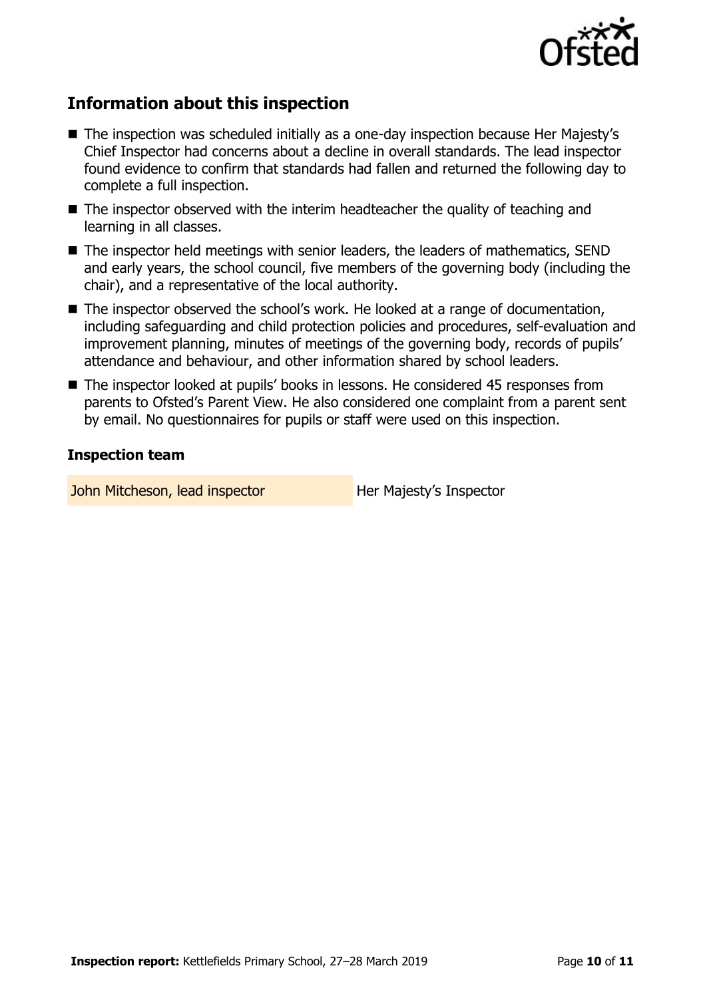

# **Information about this inspection**

- The inspection was scheduled initially as a one-day inspection because Her Majesty's Chief Inspector had concerns about a decline in overall standards. The lead inspector found evidence to confirm that standards had fallen and returned the following day to complete a full inspection.
- The inspector observed with the interim headteacher the quality of teaching and learning in all classes.
- The inspector held meetings with senior leaders, the leaders of mathematics, SEND and early years, the school council, five members of the governing body (including the chair), and a representative of the local authority.
- The inspector observed the school's work. He looked at a range of documentation, including safeguarding and child protection policies and procedures, self-evaluation and improvement planning, minutes of meetings of the governing body, records of pupils' attendance and behaviour, and other information shared by school leaders.
- The inspector looked at pupils' books in lessons. He considered 45 responses from parents to Ofsted's Parent View. He also considered one complaint from a parent sent by email. No questionnaires for pupils or staff were used on this inspection.

#### **Inspection team**

John Mitcheson, lead inspector **Her Majesty's Inspector**